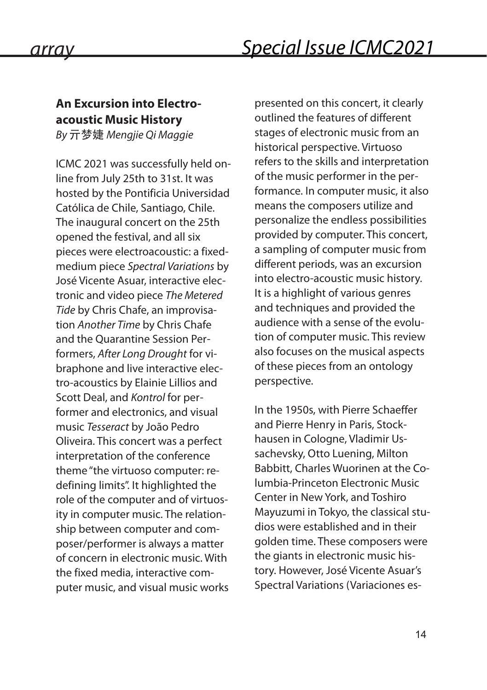## **An Excursion into Electroacoustic Music History**

*By* 亓梦婕 *Mengjie Qi Maggie*

ICMC 2021 was successfully held online from July 25th to 31st. It was hosted by the Pontificia Universidad Católica de Chile, Santiago, Chile. The inaugural concert on the 25th opened the festival, and all six pieces were electroacoustic: a fixedmedium piece *Spectral Variations* by José Vicente Asuar, interactive electronic and video piece *The Metered Tide* by Chris Chafe, an improvisation *Another Time* by Chris Chafe and the Quarantine Session Performers, *After Long Drought* for vibraphone and live interactive electro-acoustics by Elainie Lillios and Scott Deal, and *Kontrol* for performer and electronics, and visual music *Tesseract* by João Pedro Oliveira. This concert was a perfect interpretation of the conference theme "the virtuoso computer: redefining limits". It highlighted the role of the computer and of virtuosity in computer music. The relationship between computer and composer/performer is always a matter of concern in electronic music. With the fixed media, interactive computer music, and visual music works

presented on this concert, it clearly outlined the features of different stages of electronic music from an historical perspective. Virtuoso refers to the skills and interpretation of the music performer in the performance. In computer music, it also means the composers utilize and personalize the endless possibilities provided by computer. This concert, a sampling of computer music from different periods, was an excursion into electro-acoustic music history. It is a highlight of various genres and techniques and provided the audience with a sense of the evolution of computer music. This review also focuses on the musical aspects of these pieces from an ontology perspective.

In the 1950s, with Pierre Schaeffer and Pierre Henry in Paris, Stockhausen in Cologne, Vladimir Ussachevsky, Otto Luening, Milton Babbitt, Charles Wuorinen at the Columbia-Princeton Electronic Music Center in New York, and Toshiro Mayuzumi in Tokyo, the classical studios were established and in their golden time. These composers were the giants in electronic music history. However, José Vicente Asuar's Spectral Variations (Variaciones es-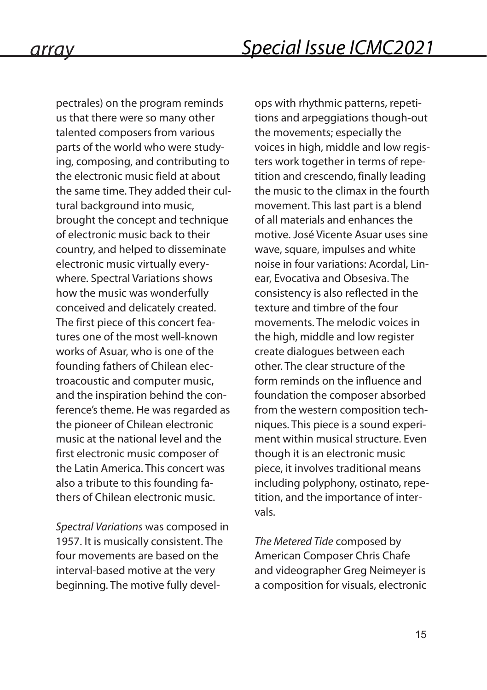pectrales) on the program reminds us that there were so many other talented composers from various parts of the world who were studying, composing, and contributing to the electronic music field at about the same time. They added their cultural background into music, brought the concept and technique of electronic music back to their country, and helped to disseminate electronic music virtually everywhere. Spectral Variations shows how the music was wonderfully conceived and delicately created. The first piece of this concert features one of the most well-known works of Asuar, who is one of the founding fathers of Chilean electroacoustic and computer music, and the inspiration behind the conference's theme. He was regarded as the pioneer of Chilean electronic music at the national level and the first electronic music composer of the Latin America. This concert was also a tribute to this founding fathers of Chilean electronic music.

*Spectral Variations* was composed in 1957. It is musically consistent. The four movements are based on the interval-based motive at the very beginning. The motive fully develops with rhythmic patterns, repetitions and arpeggiations though-out the movements; especially the voices in high, middle and low registers work together in terms of repetition and crescendo, finally leading the music to the climax in the fourth movement. This last part is a blend of all materials and enhances the motive. José Vicente Asuar uses sine wave, square, impulses and white noise in four variations: Acordal, Linear, Evocativa and Obsesiva. The consistency is also reflected in the texture and timbre of the four movements. The melodic voices in the high, middle and low register create dialogues between each other. The clear structure of the form reminds on the influence and foundation the composer absorbed from the western composition techniques. This piece is a sound experiment within musical structure. Even though it is an electronic music piece, it involves traditional means including polyphony, ostinato, repetition, and the importance of intervals.

*The Metered Tide* composed by American Composer Chris Chafe and videographer Greg Neimeyer is a composition for visuals, electronic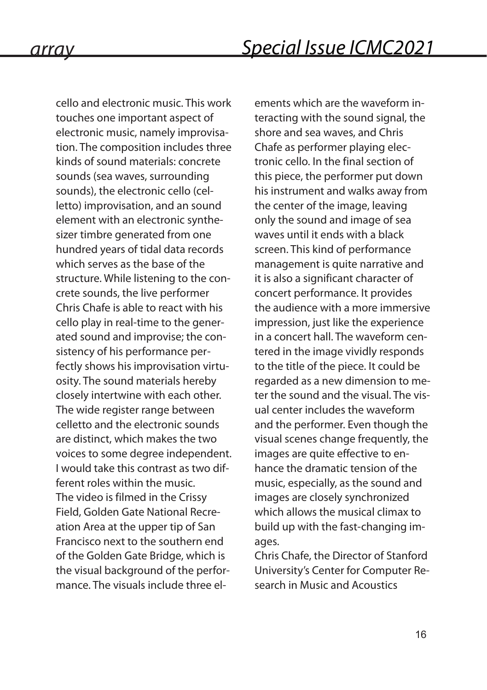cello and electronic music. This work touches one important aspect of electronic music, namely improvisation. The composition includes three kinds of sound materials: concrete sounds (sea waves, surrounding sounds), the electronic cello (celletto) improvisation, and an sound element with an electronic synthesizer timbre generated from one hundred years of tidal data records which serves as the base of the structure. While listening to the concrete sounds, the live performer Chris Chafe is able to react with his cello play in real-time to the generated sound and improvise; the consistency of his performance perfectly shows his improvisation virtuosity. The sound materials hereby closely intertwine with each other. The wide register range between celletto and the electronic sounds are distinct, which makes the two voices to some degree independent. I would take this contrast as two different roles within the music. The video is filmed in the Crissy Field, Golden Gate National Recreation Area at the upper tip of San Francisco next to the southern end of the Golden Gate Bridge, which is the visual background of the performance. The visuals include three elements which are the waveform interacting with the sound signal, the shore and sea waves, and Chris Chafe as performer playing electronic cello. In the final section of this piece, the performer put down his instrument and walks away from the center of the image, leaving only the sound and image of sea waves until it ends with a black screen. This kind of performance management is quite narrative and it is also a significant character of concert performance. It provides the audience with a more immersive impression, just like the experience in a concert hall. The waveform centered in the image vividly responds to the title of the piece. It could be regarded as a new dimension to meter the sound and the visual. The visual center includes the waveform and the performer. Even though the visual scenes change frequently, the images are quite effective to enhance the dramatic tension of the music, especially, as the sound and images are closely synchronized which allows the musical climax to build up with the fast-changing images.

Chris Chafe, the Director of Stanford University's Center for Computer Research in Music and Acoustics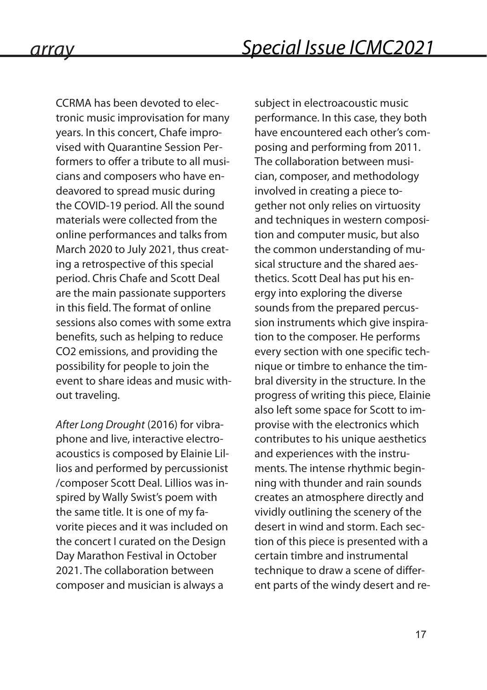CCRMA has been devoted to electronic music improvisation for many years. In this concert, Chafe improvised with Quarantine Session Performers to offer a tribute to all musicians and composers who have endeavored to spread music during the COVID-19 period. All the sound materials were collected from the online performances and talks from March 2020 to July 2021, thus creating a retrospective of this special period. Chris Chafe and Scott Deal are the main passionate supporters in this field. The format of online sessions also comes with some extra benefits, such as helping to reduce CO2 emissions, and providing the possibility for people to join the event to share ideas and music without traveling.

*After Long Drought* (2016) for vibraphone and live, interactive electroacoustics is composed by Elainie Lillios and performed by percussionist /composer Scott Deal. Lillios was inspired by Wally Swist's poem with the same title. It is one of my favorite pieces and it was included on the concert I curated on the Design Day Marathon Festival in October 2021. The collaboration between composer and musician is always a

subject in electroacoustic music performance. In this case, they both have encountered each other's composing and performing from 2011. The collaboration between musician, composer, and methodology involved in creating a piece together not only relies on virtuosity and techniques in western composition and computer music, but also the common understanding of musical structure and the shared aesthetics. Scott Deal has put his energy into exploring the diverse sounds from the prepared percussion instruments which give inspiration to the composer. He performs every section with one specific technique or timbre to enhance the timbral diversity in the structure. In the progress of writing this piece, Elainie also left some space for Scott to improvise with the electronics which contributes to his unique aesthetics and experiences with the instruments. The intense rhythmic beginning with thunder and rain sounds creates an atmosphere directly and vividly outlining the scenery of the desert in wind and storm. Each section of this piece is presented with a certain timbre and instrumental technique to draw a scene of different parts of the windy desert and re-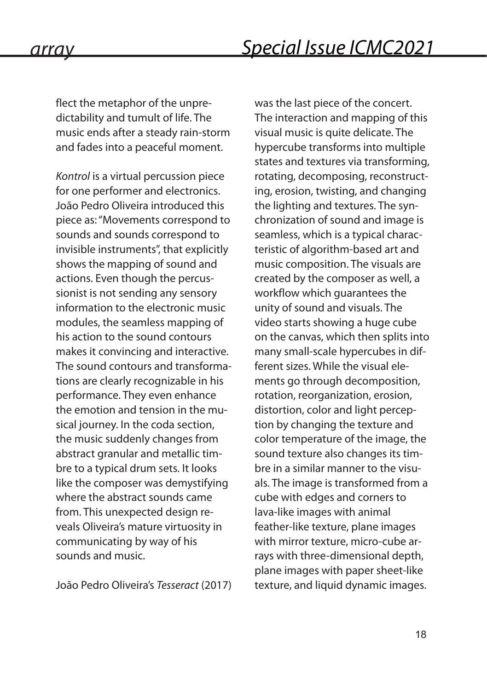flect the metaphor of the unpredictability and tumult of life. The music ends after a steady rain-storm and fades into a peaceful moment.

*Kontrol* is a virtual percussion piece for one performer and electronics. João Pedro Oliveira introduced this piece as: "Movements correspond to sounds and sounds correspond to invisible instruments", that explicitly shows the mapping of sound and actions. Even though the percussionist is not sending any sensory information to the electronic music modules, the seamless mapping of his action to the sound contours makes it convincing and interactive. The sound contours and transformations are clearly recognizable in his performance. They even enhance the emotion and tension in the musical journey. In the coda section, the music suddenly changes from abstract granular and metallic timbre to a typical drum sets. It looks like the composer was demystifying where the abstract sounds came from. This unexpected design reveals Oliveira's mature virtuosity in communicating by way of his sounds and music.

João Pedro Oliveira's *Tesseract* (2017)

was the last piece of the concert. The interaction and mapping of this visual music is quite delicate. The hypercube transforms into multiple states and textures via transforming, rotating, decomposing, reconstructing, erosion, twisting, and changing the lighting and textures. The synchronization of sound and image is seamless, which is a typical characteristic of algorithm-based art and music composition. The visuals are created by the composer as well, a workflow which guarantees the unity of sound and visuals. The video starts showing a huge cube on the canvas, which then splits into many small-scale hypercubes in different sizes. While the visual elements go through decomposition, rotation, reorganization, erosion, distortion, color and light perception by changing the texture and color temperature of the image, the sound texture also changes its timbre in a similar manner to the visuals. The image is transformed from a cube with edges and corners to lava-like images with animal feather-like texture, plane images with mirror texture, micro-cube arrays with three-dimensional depth, plane images with paper sheet-like texture, and liquid dynamic images.